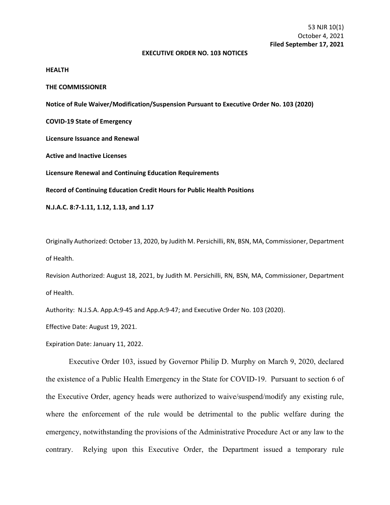## **EXECUTIVE ORDER NO. 103 NOTICES**

## **HEALTH**

**THE COMMISSIONER**

**Notice of Rule Waiver/Modification/Suspension Pursuant to Executive Order No. 103 (2020)**

**COVID-19 State of Emergency**

**Licensure Issuance and Renewal**

**Active and Inactive Licenses**

**Licensure Renewal and Continuing Education Requirements**

**Record of Continuing Education Credit Hours for Public Health Positions**

**N.J.A.C. 8:7-1.11, 1.12, 1.13, and 1.17**

Originally Authorized: October 13, 2020, by Judith M. Persichilli, RN, BSN, MA, Commissioner, Department of Health.

Revision Authorized: August 18, 2021, by Judith M. Persichilli, RN, BSN, MA, Commissioner, Department of Health.

Authority: N.J.S.A. App.A:9-45 and App.A:9-47; and Executive Order No. 103 (2020).

Effective Date: August 19, 2021.

Expiration Date: January 11, 2022.

Executive Order 103, issued by Governor Philip D. Murphy on March 9, 2020, declared the existence of a Public Health Emergency in the State for COVID-19. Pursuant to section 6 of the Executive Order, agency heads were authorized to waive/suspend/modify any existing rule, where the enforcement of the rule would be detrimental to the public welfare during the emergency, notwithstanding the provisions of the Administrative Procedure Act or any law to the contrary. Relying upon this Executive Order, the Department issued a temporary rule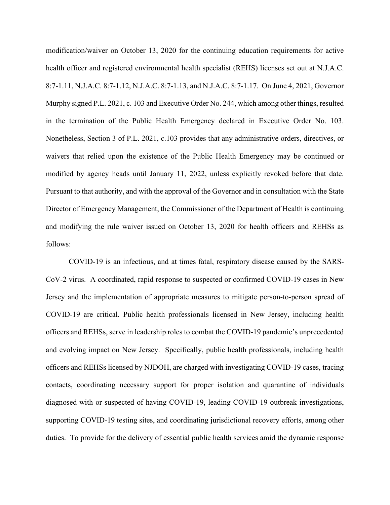modification/waiver on October 13, 2020 for the continuing education requirements for active health officer and registered environmental health specialist (REHS) licenses set out at N.J.A.C. 8:7-1.11, N.J.A.C. 8:7-1.12, N.J.A.C. 8:7-1.13, and N.J.A.C. 8:7-1.17. On June 4, 2021, Governor Murphy signed P.L. 2021, c. 103 and Executive Order No. 244, which among other things, resulted in the termination of the Public Health Emergency declared in Executive Order No. 103. Nonetheless, Section 3 of P.L. 2021, c.103 provides that any administrative orders, directives, or waivers that relied upon the existence of the Public Health Emergency may be continued or modified by agency heads until January 11, 2022, unless explicitly revoked before that date. Pursuant to that authority, and with the approval of the Governor and in consultation with the State Director of Emergency Management, the Commissioner of the Department of Health is continuing and modifying the rule waiver issued on October 13, 2020 for health officers and REHSs as follows:

COVID-19 is an infectious, and at times fatal, respiratory disease caused by the SARS-CoV-2 virus. A coordinated, rapid response to suspected or confirmed COVID-19 cases in New Jersey and the implementation of appropriate measures to mitigate person-to-person spread of COVID-19 are critical. Public health professionals licensed in New Jersey, including health officers and REHSs, serve in leadership roles to combat the COVID-19 pandemic's unprecedented and evolving impact on New Jersey. Specifically, public health professionals, including health officers and REHSs licensed by NJDOH, are charged with investigating COVID-19 cases, tracing contacts, coordinating necessary support for proper isolation and quarantine of individuals diagnosed with or suspected of having COVID-19, leading COVID-19 outbreak investigations, supporting COVID-19 testing sites, and coordinating jurisdictional recovery efforts, among other duties. To provide for the delivery of essential public health services amid the dynamic response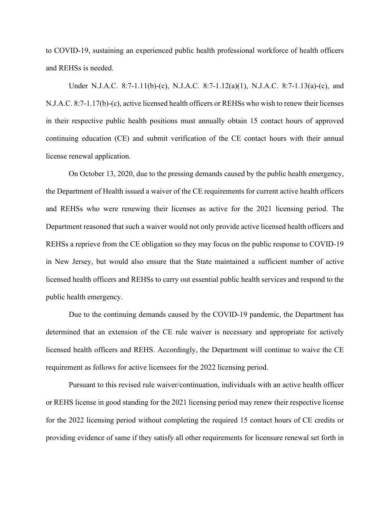to COVID-19, sustaining an experienced public health professional workforce of health officers and REHSs is needed.

Under N.J.A.C. 8:7-1.11(b)-(c), N.J.A.C. 8:7-1.12(a)(1), N.J.A.C. 8:7-1.13(a)-(c), and N.J.A.C. 8:7-1.17(b)-(c), active licensed health officers or REHSs who wish to renew their licenses in their respective public health positions must annually obtain 15 contact hours of approved continuing education (CE) and submit verification of the CE contact hours with their annual license renewal application.

On October 13, 2020, due to the pressing demands caused by the public health emergency, the Department of Health issued a waiver of the CE requirements for current active health officers and REHSs who were renewing their licenses as active for the 2021 licensing period. The Department reasoned that such a waiver would not only provide active licensed health officers and REHSs a reprieve from the CE obligation so they may focus on the public response to COVID-19 in New Jersey, but would also ensure that the State maintained a sufficient number of active licensed health officers and REHSs to carry out essential public health services and respond to the public health emergency.

Due to the continuing demands caused by the COVID-19 pandemic, the Department has determined that an extension of the CE rule waiver is necessary and appropriate for actively licensed health officers and REHS. Accordingly, the Department will continue to waive the CE requirement as follows for active licensees for the 2022 licensing period.

Pursuant to this revised rule waiver/continuation, individuals with an active health officer or REHS license in good standing for the 2021 licensing period may renew their respective license for the 2022 licensing period without completing the required 15 contact hours of CE credits or providing evidence of same if they satisfy all other requirements for licensure renewal set forth in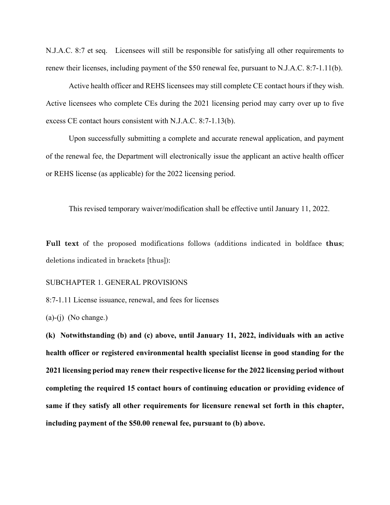N.J.A.C. 8:7 et seq. Licensees will still be responsible for satisfying all other requirements to renew their licenses, including payment of the \$50 renewal fee, pursuant to N.J.A.C. 8:7-1.11(b).

Active health officer and REHS licensees may still complete CE contact hours if they wish. Active licensees who complete CEs during the 2021 licensing period may carry over up to five excess CE contact hours consistent with N.J.A.C. 8:7-1.13(b).

Upon successfully submitting a complete and accurate renewal application, and payment of the renewal fee, the Department will electronically issue the applicant an active health officer or REHS license (as applicable) for the 2022 licensing period.

This revised temporary waiver/modification shall be effective until January 11, 2022.

**Full text** of the proposed modifications follows (additions indicated in boldface **thus**; deletions indicated in brackets [thus]):

SUBCHAPTER 1. GENERAL PROVISIONS

8:7-1.11 License issuance, renewal, and fees for licenses

 $(a)-(i)$  (No change.)

**(k) Notwithstanding (b) and (c) above, until January 11, 2022, individuals with an active health officer or registered environmental health specialist license in good standing for the 2021 licensing period may renew their respective license for the 2022 licensing period without completing the required 15 contact hours of continuing education or providing evidence of same if they satisfy all other requirements for licensure renewal set forth in this chapter, including payment of the \$50.00 renewal fee, pursuant to (b) above.**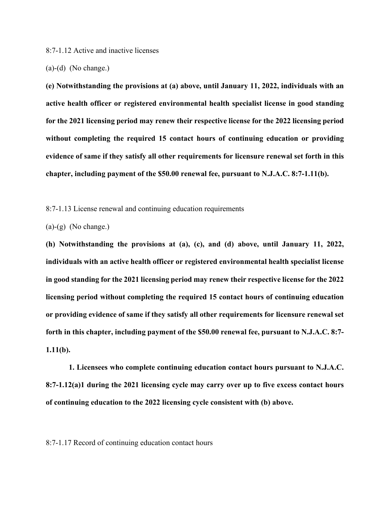8:7-1.12 Active and inactive licenses

(a)-(d) (No change.)

**(e) Notwithstanding the provisions at (a) above, until January 11, 2022, individuals with an active health officer or registered environmental health specialist license in good standing for the 2021 licensing period may renew their respective license for the 2022 licensing period without completing the required 15 contact hours of continuing education or providing evidence of same if they satisfy all other requirements for licensure renewal set forth in this chapter, including payment of the \$50.00 renewal fee, pursuant to N.J.A.C. 8:7-1.11(b).**

8:7-1.13 License renewal and continuing education requirements

 $(a)-(g)$  (No change.)

**(h) Notwithstanding the provisions at (a), (c), and (d) above, until January 11, 2022, individuals with an active health officer or registered environmental health specialist license in good standing for the 2021 licensing period may renew their respective license for the 2022 licensing period without completing the required 15 contact hours of continuing education or providing evidence of same if they satisfy all other requirements for licensure renewal set forth in this chapter, including payment of the \$50.00 renewal fee, pursuant to N.J.A.C. 8:7- 1.11(b).**

**1. Licensees who complete continuing education contact hours pursuant to N.J.A.C. 8:7-1.12(a)1 during the 2021 licensing cycle may carry over up to five excess contact hours of continuing education to the 2022 licensing cycle consistent with (b) above.**

8:7-1.17 Record of continuing education contact hours